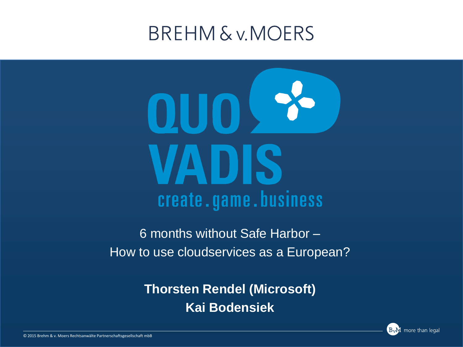## **BREHM & v. MOERS**



6 months without Safe Harbor – How to use cloudservices as a European?

> **Thorsten Rendel (Microsoft) Kai Bodensiek**

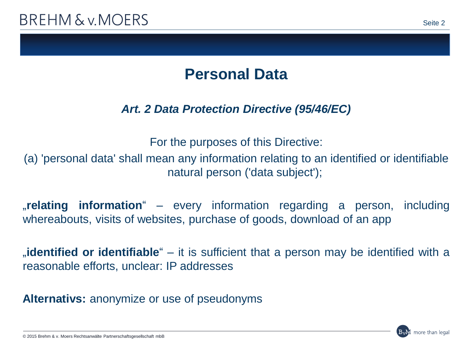## **Personal Data**

*Art. 2 Data Protection Directive (95/46/EC)*

For the purposes of this Directive:

(a) 'personal data' shall mean any information relating to an identified or identifiable natural person ('data subject');

"relating information" – every information regarding a person, including whereabouts, visits of websites, purchase of goods, download of an app

"**identified or identifiable**" – it is sufficient that a person may be identified with a reasonable efforts, unclear: IP addresses

**Alternativs:** anonymize or use of pseudonyms

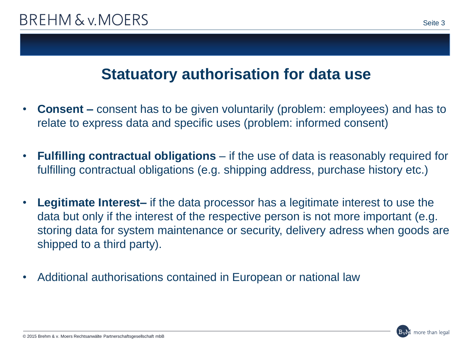### **Statuatory authorisation for data use**

- **Consent –** consent has to be given voluntarily (problem: employees) and has to relate to express data and specific uses (problem: informed consent)
- **Fulfilling contractual obligations**  if the use of data is reasonably required for fulfilling contractual obligations (e.g. shipping address, purchase history etc.)
- **Legitimate Interest–** if the data processor has a legitimate interest to use the data but only if the interest of the respective person is not more important (e.g. storing data for system maintenance or security, delivery adress when goods are shipped to a third party).
- Additional authorisations contained in European or national law

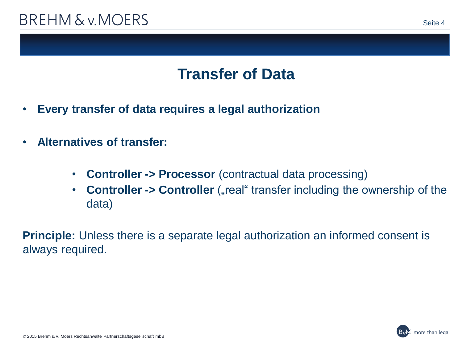## **Transfer of Data**

- **Every transfer of data requires a legal authorization**
- **Alternatives of transfer:**
	- **Controller -> Processor** (contractual data processing)
	- **Controller -> Controller** ("real" transfer including the ownership of the data)

**Principle:** Unless there is a separate legal authorization an informed consent is always required.

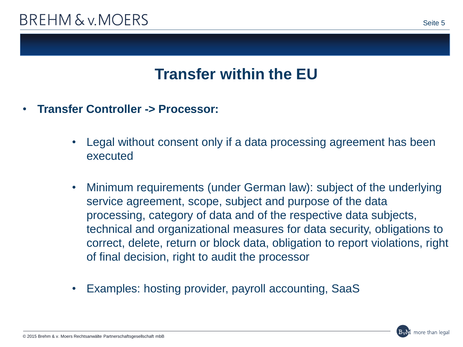#### **Transfer within the EU**

- **Transfer Controller -> Processor:**
	- Legal without consent only if a data processing agreement has been executed
	- Minimum requirements (under German law): subject of the underlying service agreement, scope, subject and purpose of the data processing, category of data and of the respective data subjects, technical and organizational measures for data security, obligations to correct, delete, return or block data, obligation to report violations, right of final decision, right to audit the processor
	- Examples: hosting provider, payroll accounting, SaaS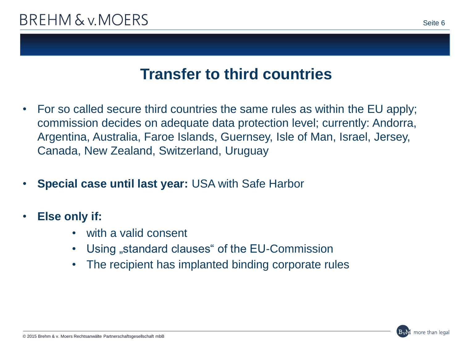#### **Transfer to third countries**

- For so called secure third countries the same rules as within the EU apply; commission decides on adequate data protection level; currently: Andorra, Argentina, Australia, Faroe Islands, Guernsey, Isle of Man, Israel, Jersey, Canada, New Zealand, Switzerland, Uruguay
- **Special case until last year:** USA with Safe Harbor
- **Else only if:**
	- with a valid consent
	- Using "standard clauses" of the EU-Commission
	- The recipient has implanted binding corporate rules

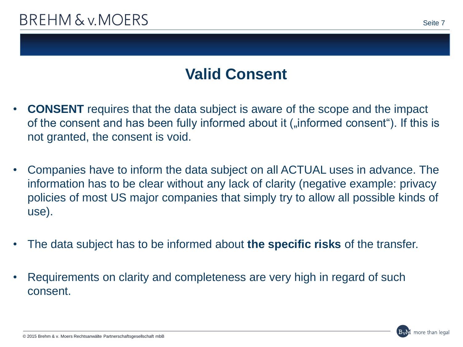## **Valid Consent**

- **CONSENT** requires that the data subject is aware of the scope and the impact of the consent and has been fully informed about it ("informed consent"). If this is not granted, the consent is void.
- Companies have to inform the data subject on all ACTUAL uses in advance. The information has to be clear without any lack of clarity (negative example: privacy policies of most US major companies that simply try to allow all possible kinds of use).
- The data subject has to be informed about **the specific risks** of the transfer.
- Requirements on clarity and completeness are very high in regard of such consent.

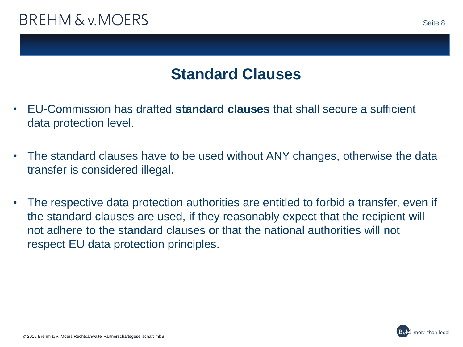### **Standard Clauses**

- EU-Commission has drafted **standard clauses** that shall secure a sufficient data protection level.
- The standard clauses have to be used without ANY changes, otherwise the data transfer is considered illegal.
- The respective data protection authorities are entitled to forbid a transfer, even if the standard clauses are used, if they reasonably expect that the recipient will not adhere to the standard clauses or that the national authorities will not respect EU data protection principles.

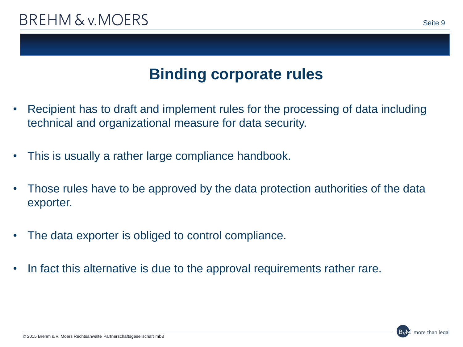### **Binding corporate rules**

- Recipient has to draft and implement rules for the processing of data including technical and organizational measure for data security.
- This is usually a rather large compliance handbook.
- Those rules have to be approved by the data protection authorities of the data exporter.
- The data exporter is obliged to control compliance.
- In fact this alternative is due to the approval requirements rather rare.

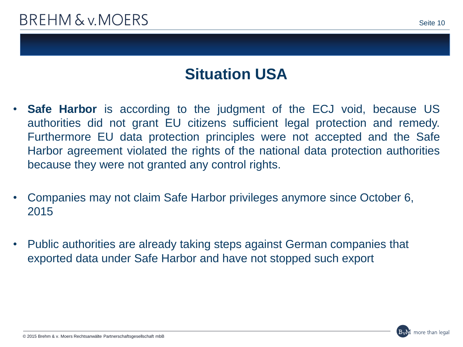## **Situation USA**

- **Safe Harbor** is according to the judgment of the ECJ void, because US authorities did not grant EU citizens sufficient legal protection and remedy. Furthermore EU data protection principles were not accepted and the Safe Harbor agreement violated the rights of the national data protection authorities because they were not granted any control rights.
- Companies may not claim Safe Harbor privileges anymore since October 6, 2015
- Public authorities are already taking steps against German companies that exported data under Safe Harbor and have not stopped such export

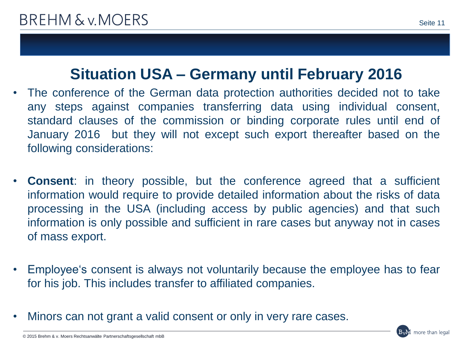## **Situation USA – Germany until February 2016**

- The conference of the German data protection authorities decided not to take any steps against companies transferring data using individual consent, standard clauses of the commission or binding corporate rules until end of January 2016 but they will not except such export thereafter based on the following considerations:
- **Consent:** in theory possible, but the conference agreed that a sufficient information would require to provide detailed information about the risks of data processing in the USA (including access by public agencies) and that such information is only possible and sufficient in rare cases but anyway not in cases of mass export.
- Employee's consent is always not voluntarily because the employee has to fear for his job. This includes transfer to affiliated companies.
- Minors can not grant a valid consent or only in very rare cases.

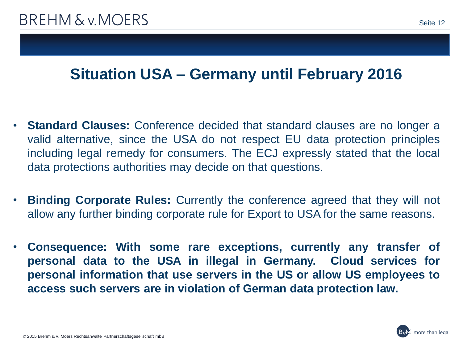## **Situation USA – Germany until February 2016**

- **Standard Clauses:** Conference decided that standard clauses are no longer a valid alternative, since the USA do not respect EU data protection principles including legal remedy for consumers. The ECJ expressly stated that the local data protections authorities may decide on that questions.
- **Binding Corporate Rules:** Currently the conference agreed that they will not allow any further binding corporate rule for Export to USA for the same reasons.
- **Consequence: With some rare exceptions, currently any transfer of personal data to the USA in illegal in Germany. Cloud services for personal information that use servers in the US or allow US employees to access such servers are in violation of German data protection law.**

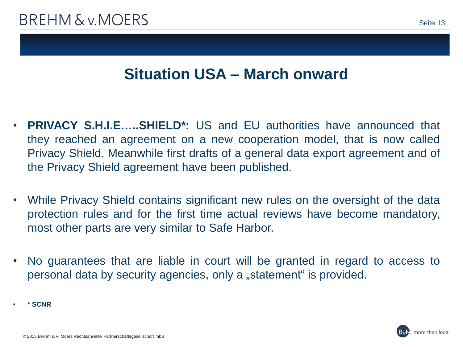## **Situation USA – March onward**

- **PRIVACY S.H.I.E…..SHIELD\*:** US and EU authorities have announced that they reached an agreement on a new cooperation model, that is now called Privacy Shield. Meanwhile first drafts of a general data export agreement and of the Privacy Shield agreement have been published.
- While Privacy Shield contains significant new rules on the oversight of the data protection rules and for the first time actual reviews have become mandatory, most other parts are very similar to Safe Harbor.
- No guarantees that are liable in court will be granted in regard to access to personal data by security agencies, only a "statement" is provided.
- **\* SCNR**

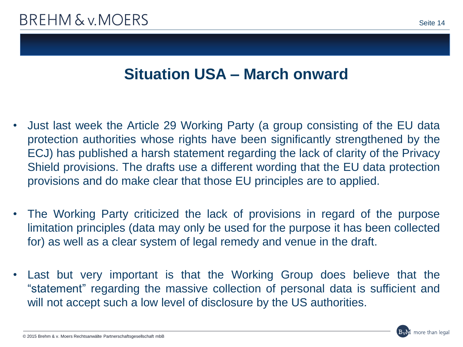## **Situation USA – March onward**

- Just last week the Article 29 Working Party (a group consisting of the EU data protection authorities whose rights have been significantly strengthened by the ECJ) has published a harsh statement regarding the lack of clarity of the Privacy Shield provisions. The drafts use a different wording that the EU data protection provisions and do make clear that those EU principles are to applied.
- The Working Party criticized the lack of provisions in regard of the purpose limitation principles (data may only be used for the purpose it has been collected for) as well as a clear system of legal remedy and venue in the draft.
- Last but very important is that the Working Group does believe that the "statement" regarding the massive collection of personal data is sufficient and will not accept such a low level of disclosure by the US authorities.

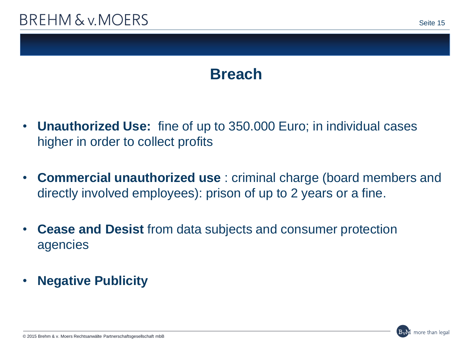## **Breach**

- **Unauthorized Use:** fine of up to 350.000 Euro; in individual cases higher in order to collect profits
- **Commercial unauthorized use** : criminal charge (board members and directly involved employees): prison of up to 2 years or a fine.
- **Cease and Desist** from data subjects and consumer protection agencies
- **Negative Publicity**

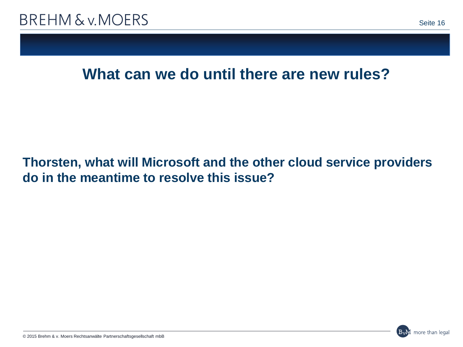#### **What can we do until there are new rules?**

#### **Thorsten, what will Microsoft and the other cloud service providers do in the meantime to resolve this issue?**